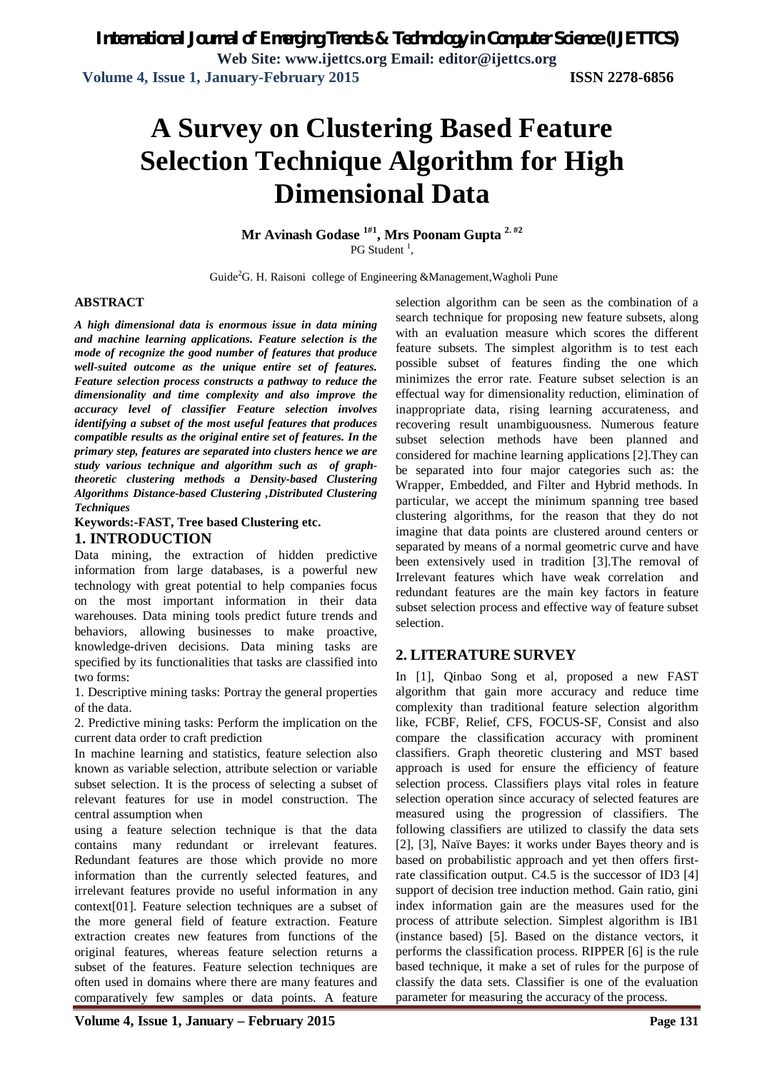# **A Survey on Clustering Based Feature Selection Technique Algorithm for High Dimensional Data**

**Mr Avinash Godase 1#1 , Mrs Poonam Gupta 2. #2** PG Student<sup>1</sup>,

Guide<sup>2</sup>G. H. Raisoni college of Engineering &Management,Wagholi Pune

### **ABSTRACT**

*A high dimensional data is enormous issue in data mining and machine learning applications. Feature selection is the mode of recognize the good number of features that produce well-suited outcome as the unique entire set of features. Feature selection process constructs a pathway to reduce the dimensionality and time complexity and also improve the accuracy level of classifier Feature selection involves identifying a subset of the most useful features that produces compatible results as the original entire set of features. In the primary step, features are separated into clusters hence we are study various technique and algorithm such as of graphtheoretic clustering methods a Density-based Clustering Algorithms Distance-based Clustering ,Distributed Clustering Techniques*

### **Keywords:-FAST, Tree based Clustering etc. 1. INTRODUCTION**

Data mining, the extraction of hidden predictive information from large databases, is a powerful new technology with great potential to help companies focus on the most important information in their data warehouses. Data mining tools predict future trends and behaviors, allowing businesses to make proactive, knowledge-driven decisions. Data mining tasks are specified by its functionalities that tasks are classified into two forms:

1. Descriptive mining tasks: Portray the general properties of the data.

2. Predictive mining tasks: Perform the implication on the current data order to craft prediction

In machine learning and statistics, feature selection also known as variable selection, attribute selection or variable subset selection. It is the process of selecting a subset of relevant features for use in model construction. The central assumption when

using a feature selection technique is that the data contains many redundant or irrelevant features. Redundant features are those which provide no more information than the currently selected features, and irrelevant features provide no useful information in any context[01]. Feature selection techniques are a subset of the more general field of feature extraction. Feature extraction creates new features from functions of the original features, whereas feature selection returns a subset of the features. Feature selection techniques are often used in domains where there are many features and comparatively few samples or data points. A feature selection algorithm can be seen as the combination of a search technique for proposing new feature subsets, along with an evaluation measure which scores the different feature subsets. The simplest algorithm is to test each possible subset of features finding the one which minimizes the error rate. Feature subset selection is an effectual way for dimensionality reduction, elimination of inappropriate data, rising learning accurateness, and recovering result unambiguousness. Numerous feature subset selection methods have been planned and considered for machine learning applications [2].They can be separated into four major categories such as: the Wrapper, Embedded, and Filter and Hybrid methods. In particular, we accept the minimum spanning tree based clustering algorithms, for the reason that they do not imagine that data points are clustered around centers or separated by means of a normal geometric curve and have been extensively used in tradition [3].The removal of Irrelevant features which have weak correlation and redundant features are the main key factors in feature subset selection process and effective way of feature subset selection.

### **2. LITERATURE SURVEY**

In [1], Qinbao Song et al, proposed a new FAST algorithm that gain more accuracy and reduce time complexity than traditional feature selection algorithm like, FCBF, Relief, CFS, FOCUS-SF, Consist and also compare the classification accuracy with prominent classifiers. Graph theoretic clustering and MST based approach is used for ensure the efficiency of feature selection process. Classifiers plays vital roles in feature selection operation since accuracy of selected features are measured using the progression of classifiers. The following classifiers are utilized to classify the data sets [2], [3], Naïve Bayes: it works under Bayes theory and is based on probabilistic approach and yet then offers firstrate classification output. C4.5 is the successor of ID3 [4] support of decision tree induction method. Gain ratio, gini index information gain are the measures used for the process of attribute selection. Simplest algorithm is IB1 (instance based) [5]. Based on the distance vectors, it performs the classification process. RIPPER [6] is the rule based technique, it make a set of rules for the purpose of classify the data sets. Classifier is one of the evaluation parameter for measuring the accuracy of the process.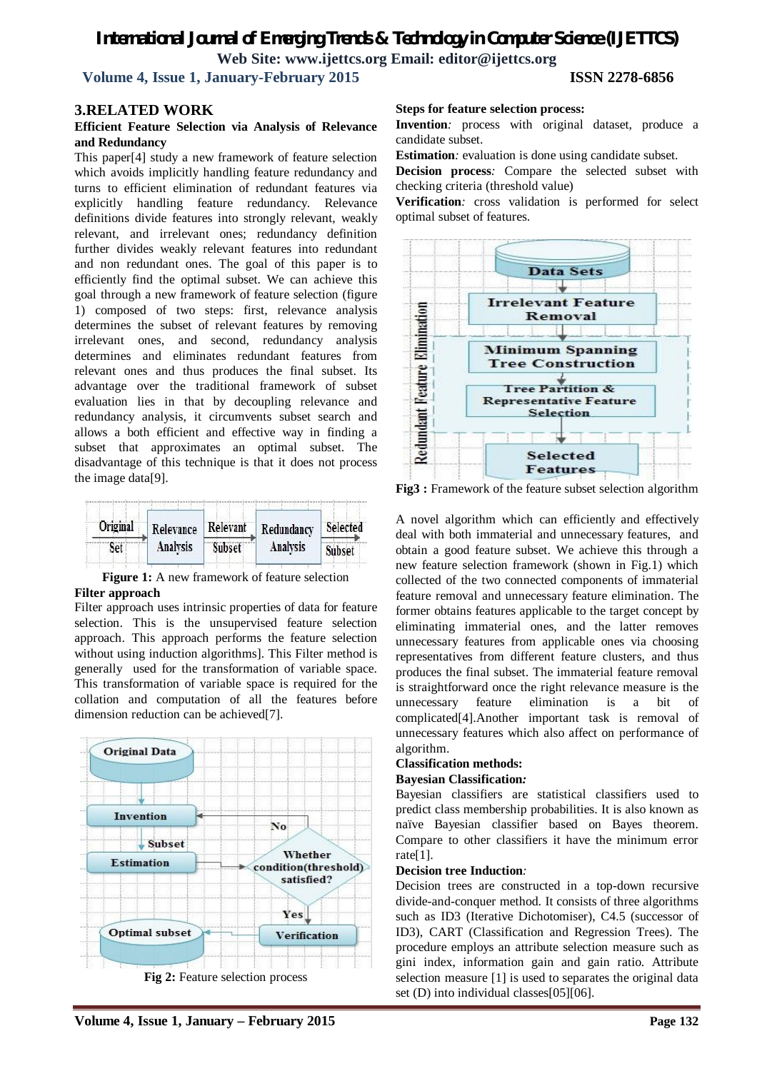## **Volume 4, Issue 1, January-February 2015 ISSN 2278-6856**

### **3.RELATED WORK**

### **Efficient Feature Selection via Analysis of Relevance and Redundancy**

This paper[4] study a new framework of feature selection which avoids implicitly handling feature redundancy and turns to efficient elimination of redundant features via explicitly handling feature redundancy. Relevance definitions divide features into strongly relevant, weakly relevant, and irrelevant ones; redundancy definition further divides weakly relevant features into redundant and non redundant ones. The goal of this paper is to efficiently find the optimal subset. We can achieve this goal through a new framework of feature selection (figure 1) composed of two steps: first, relevance analysis determines the subset of relevant features by removing irrelevant ones, and second, redundancy analysis determines and eliminates redundant features from relevant ones and thus produces the final subset. Its advantage over the traditional framework of subset evaluation lies in that by decoupling relevance and redundancy analysis, it circumvents subset search and allows a both efficient and effective way in finding a subset that approximates an optimal subset. The disadvantage of this technique is that it does not process the image data[9].



**Figure 1:** A new framework of feature selection **Filter approach**

Filter approach uses intrinsic properties of data for feature selection. This is the unsupervised feature selection approach. This approach performs the feature selection without using induction algorithms]. This Filter method is generally used for the transformation of variable space. This transformation of variable space is required for the collation and computation of all the features before dimension reduction can be achieved[7].



**Volume 4, Issue 1, January – February 2015 Page 132**

### **Steps for feature selection process:**

**Invention***:* process with original dataset, produce a candidate subset.

**Estimation**: evaluation is done using candidate subset.

**Decision process***:* Compare the selected subset with checking criteria (threshold value)

**Verification***:* cross validation is performed for select optimal subset of features.



**Fig3 :** Framework of the feature subset selection algorithm

A novel algorithm which can efficiently and effectively deal with both immaterial and unnecessary features, and obtain a good feature subset. We achieve this through a new feature selection framework (shown in Fig.1) which collected of the two connected components of immaterial feature removal and unnecessary feature elimination. The former obtains features applicable to the target concept by eliminating immaterial ones, and the latter removes unnecessary features from applicable ones via choosing representatives from different feature clusters, and thus produces the final subset. The immaterial feature removal is straightforward once the right relevance measure is the unnecessary feature elimination is a bit of complicated[4].Another important task is removal of unnecessary features which also affect on performance of algorithm.

### **Classification methods:**

### **Bayesian Classification***:*

Bayesian classifiers are statistical classifiers used to predict class membership probabilities. It is also known as naïve Bayesian classifier based on Bayes theorem. Compare to other classifiers it have the minimum error rate[1].

### **Decision tree Induction***:*

Decision trees are constructed in a top-down recursive divide-and-conquer method. It consists of three algorithms such as ID3 (Iterative Dichotomiser), C4.5 (successor of ID3), CART (Classification and Regression Trees). The procedure employs an attribute selection measure such as gini index, information gain and gain ratio. Attribute selection measure [1] is used to separates the original data set (D) into individual classes[05][06].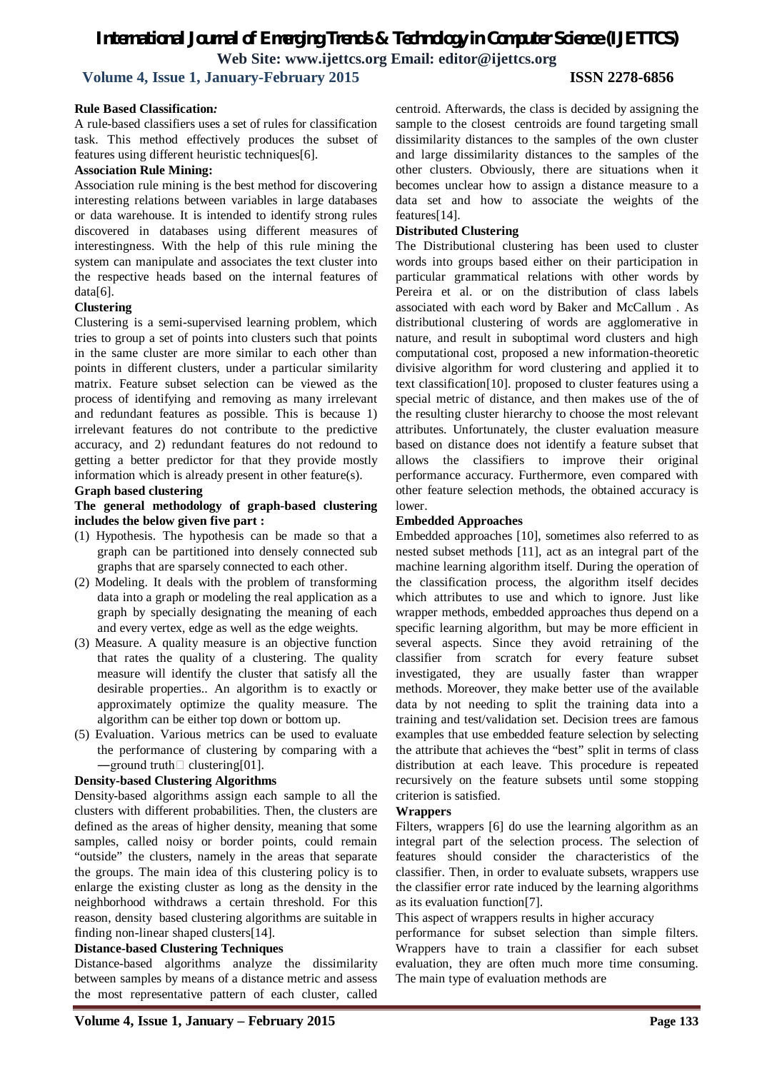**Volume 4, Issue 1, January-February 2015 ISSN 2278-6856**

### **Rule Based Classification***:*

A rule-based classifiers uses a set of rules for classification task. This method effectively produces the subset of features using different heuristic techniques[6].

### **Association Rule Mining:**

Association rule mining is the best method for discovering interesting relations between variables in large databases or data warehouse. It is intended to identify strong rules discovered in databases using different measures of interestingness. With the help of this rule mining the system can manipulate and associates the text cluster into the respective heads based on the internal features of data[6].

### **Clustering**

Clustering is a semi-supervised learning problem, which tries to group a set of points into clusters such that points in the same cluster are more similar to each other than points in different clusters, under a particular similarity matrix. Feature subset selection can be viewed as the process of identifying and removing as many irrelevant and redundant features as possible. This is because 1) irrelevant features do not contribute to the predictive accuracy, and 2) redundant features do not redound to getting a better predictor for that they provide mostly information which is already present in other feature(s).

### **Graph based clustering**

### **The general methodology of graph-based clustering includes the below given five part :**

- (1) Hypothesis. The hypothesis can be made so that a graph can be partitioned into densely connected sub graphs that are sparsely connected to each other.
- (2) Modeling. It deals with the problem of transforming data into a graph or modeling the real application as a graph by specially designating the meaning of each and every vertex, edge as well as the edge weights.
- (3) Measure. A quality measure is an objective function that rates the quality of a clustering. The quality measure will identify the cluster that satisfy all the desirable properties.. An algorithm is to exactly or approximately optimize the quality measure. The algorithm can be either top down or bottom up.
- (5) Evaluation. Various metrics can be used to evaluate the performance of clustering by comparing with a  $\rightharpoonup$ ground truth $\Box$  clustering[01].

### **Density-based Clustering Algorithms**

Density-based algorithms assign each sample to all the clusters with different probabilities. Then, the clusters are defined as the areas of higher density, meaning that some samples, called noisy or border points, could remain "outside" the clusters, namely in the areas that separate the groups. The main idea of this clustering policy is to enlarge the existing cluster as long as the density in the neighborhood withdraws a certain threshold. For this reason, density based clustering algorithms are suitable in finding non-linear shaped clusters[14].

### **Distance-based Clustering Techniques**

Distance-based algorithms analyze the dissimilarity between samples by means of a distance metric and assess the most representative pattern of each cluster, called

centroid. Afterwards, the class is decided by assigning the sample to the closest centroids are found targeting small dissimilarity distances to the samples of the own cluster and large dissimilarity distances to the samples of the other clusters. Obviously, there are situations when it becomes unclear how to assign a distance measure to a data set and how to associate the weights of the features[14].

### **Distributed Clustering**

The Distributional clustering has been used to cluster words into groups based either on their participation in particular grammatical relations with other words by Pereira et al. or on the distribution of class labels associated with each word by Baker and McCallum . As distributional clustering of words are agglomerative in nature, and result in suboptimal word clusters and high computational cost, proposed a new information-theoretic divisive algorithm for word clustering and applied it to text classification[10]. proposed to cluster features using a special metric of distance, and then makes use of the of the resulting cluster hierarchy to choose the most relevant attributes. Unfortunately, the cluster evaluation measure based on distance does not identify a feature subset that allows the classifiers to improve their original performance accuracy. Furthermore, even compared with other feature selection methods, the obtained accuracy is lower.

### **Embedded Approaches**

Embedded approaches [10], sometimes also referred to as nested subset methods [11], act as an integral part of the machine learning algorithm itself. During the operation of the classification process, the algorithm itself decides which attributes to use and which to ignore. Just like wrapper methods, embedded approaches thus depend on a specific learning algorithm, but may be more efficient in several aspects. Since they avoid retraining of the classifier from scratch for every feature subset investigated, they are usually faster than wrapper methods. Moreover, they make better use of the available data by not needing to split the training data into a training and test/validation set. Decision trees are famous examples that use embedded feature selection by selecting the attribute that achieves the "best" split in terms of class distribution at each leave. This procedure is repeated recursively on the feature subsets until some stopping criterion is satisfied.

### **Wrappers**

Filters, wrappers [6] do use the learning algorithm as an integral part of the selection process. The selection of features should consider the characteristics of the classifier. Then, in order to evaluate subsets, wrappers use the classifier error rate induced by the learning algorithms as its evaluation function[7].

This aspect of wrappers results in higher accuracy

performance for subset selection than simple filters. Wrappers have to train a classifier for each subset evaluation, they are often much more time consuming. The main type of evaluation methods are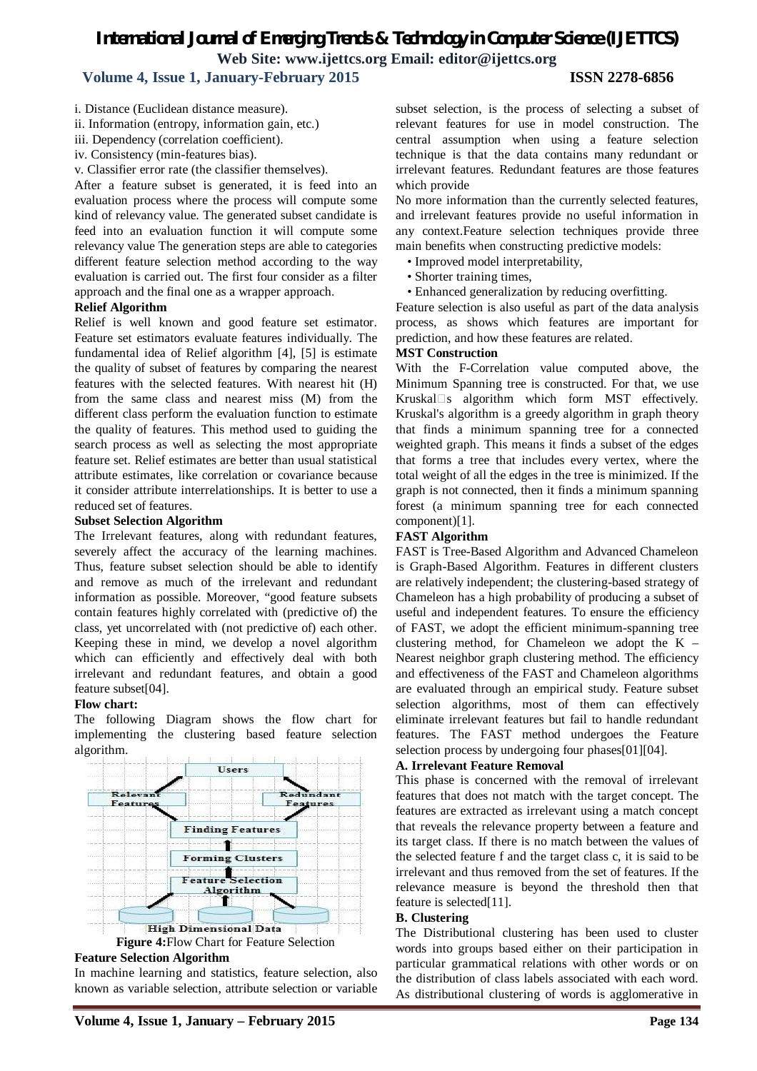### **Volume 4, Issue 1, January-February 2015 ISSN 2278-6856**

- i. Distance (Euclidean distance measure).
- ii. Information (entropy, information gain, etc.)
- iii. Dependency (correlation coefficient).
- iv. Consistency (min-features bias).
- v. Classifier error rate (the classifier themselves).

After a feature subset is generated, it is feed into an evaluation process where the process will compute some kind of relevancy value. The generated subset candidate is feed into an evaluation function it will compute some relevancy value The generation steps are able to categories different feature selection method according to the way evaluation is carried out. The first four consider as a filter approach and the final one as a wrapper approach.

### **Relief Algorithm**

Relief is well known and good feature set estimator. Feature set estimators evaluate features individually. The fundamental idea of Relief algorithm [4], [5] is estimate the quality of subset of features by comparing the nearest features with the selected features. With nearest hit (H) from the same class and nearest miss (M) from the different class perform the evaluation function to estimate the quality of features. This method used to guiding the search process as well as selecting the most appropriate feature set. Relief estimates are better than usual statistical attribute estimates, like correlation or covariance because it consider attribute interrelationships. It is better to use a reduced set of features.

### **Subset Selection Algorithm**

The Irrelevant features, along with redundant features, severely affect the accuracy of the learning machines. Thus, feature subset selection should be able to identify and remove as much of the irrelevant and redundant information as possible. Moreover, "good feature subsets contain features highly correlated with (predictive of) the class, yet uncorrelated with (not predictive of) each other. Keeping these in mind, we develop a novel algorithm which can efficiently and effectively deal with both irrelevant and redundant features, and obtain a good feature subset[04].

### **Flow chart:**

The following Diagram shows the flow chart for implementing the clustering based feature selection algorithm.



### **Feature Selection Algorithm**

In machine learning and statistics, feature selection, also known as variable selection, attribute selection or variable subset selection, is the process of selecting a subset of relevant features for use in model construction. The central assumption when using a feature selection technique is that the data contains many redundant or irrelevant features. Redundant features are those features which provide

No more information than the currently selected features, and irrelevant features provide no useful information in any context.Feature selection techniques provide three main benefits when constructing predictive models:

- Improved model interpretability,
- Shorter training times,
- Enhanced generalization by reducing overfitting.

Feature selection is also useful as part of the data analysis process, as shows which features are important for prediction, and how these features are related.

### **MST Construction**

With the F-Correlation value computed above, the Minimum Spanning tree is constructed. For that, we use Kruskal $\square$ s algorithm which form MST effectively. Kruskal's algorithm is a greedy algorithm in graph theory that finds a minimum spanning tree for a connected weighted graph. This means it finds a subset of the edges that forms a tree that includes every vertex, where the total weight of all the edges in the tree is minimized. If the graph is not connected, then it finds a minimum spanning forest (a minimum spanning tree for each connected component)[1].

### **FAST Algorithm**

FAST is Tree-Based Algorithm and Advanced Chameleon is Graph-Based Algorithm. Features in different clusters are relatively independent; the clustering-based strategy of Chameleon has a high probability of producing a subset of useful and independent features. To ensure the efficiency of FAST, we adopt the efficient minimum-spanning tree clustering method, for Chameleon we adopt the K – Nearest neighbor graph clustering method. The efficiency and effectiveness of the FAST and Chameleon algorithms are evaluated through an empirical study. Feature subset selection algorithms, most of them can effectively eliminate irrelevant features but fail to handle redundant features. The FAST method undergoes the Feature selection process by undergoing four phases[01][04].

### **A. Irrelevant Feature Removal**

This phase is concerned with the removal of irrelevant features that does not match with the target concept. The features are extracted as irrelevant using a match concept that reveals the relevance property between a feature and its target class. If there is no match between the values of the selected feature f and the target class c, it is said to be irrelevant and thus removed from the set of features. If the relevance measure is beyond the threshold then that feature is selected[11].

### **B. Clustering**

The Distributional clustering has been used to cluster words into groups based either on their participation in particular grammatical relations with other words or on the distribution of class labels associated with each word. As distributional clustering of words is agglomerative in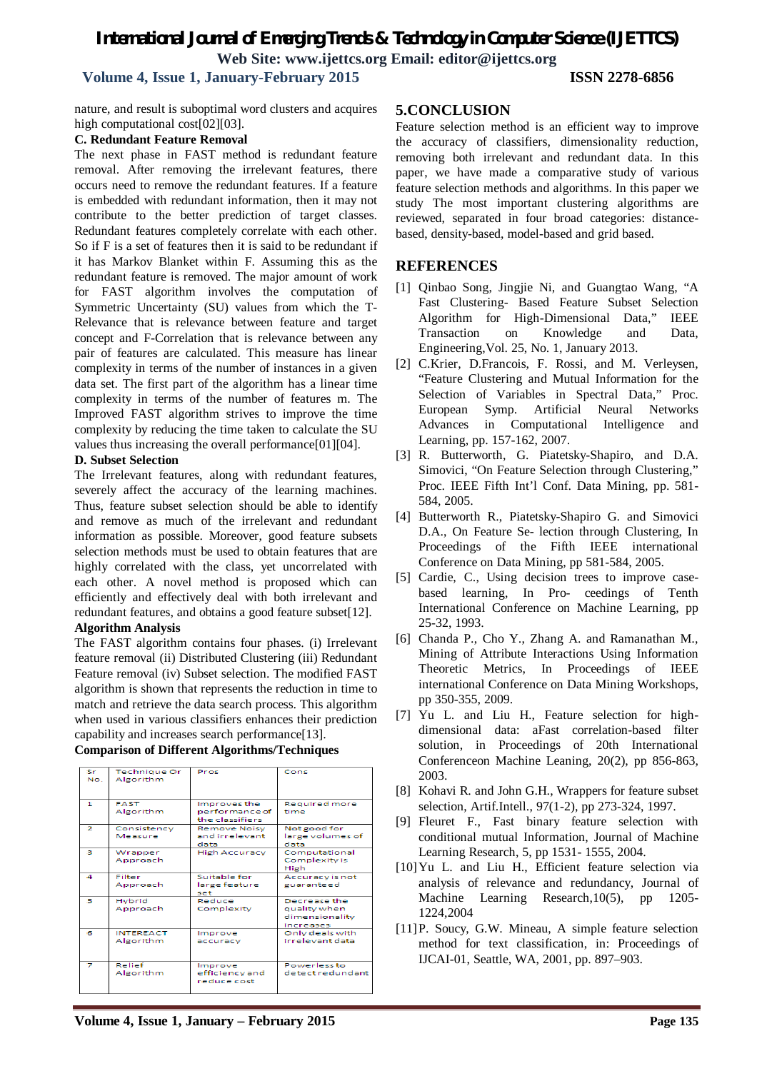### *International Journal of Emerging Trends & Technology in Computer Science (IJETTCS)* **Web Site: www.ijettcs.org Email: editor@ijettcs.org Volume 4, Issue 1, January-February 2015 ISSN 2278-6856**

nature, and result is suboptimal word clusters and acquires high computational cost[02][03].

### **C. Redundant Feature Removal**

The next phase in FAST method is redundant feature removal. After removing the irrelevant features, there occurs need to remove the redundant features. If a feature is embedded with redundant information, then it may not contribute to the better prediction of target classes. Redundant features completely correlate with each other. So if F is a set of features then it is said to be redundant if it has Markov Blanket within F. Assuming this as the redundant feature is removed. The major amount of work for FAST algorithm involves the computation of Symmetric Uncertainty (SU) values from which the T-Relevance that is relevance between feature and target concept and F-Correlation that is relevance between any pair of features are calculated. This measure has linear complexity in terms of the number of instances in a given data set. The first part of the algorithm has a linear time complexity in terms of the number of features m. The Improved FAST algorithm strives to improve the time complexity by reducing the time taken to calculate the SU values thus increasing the overall performance[01][04].

### **D. Subset Selection**

The Irrelevant features, along with redundant features, severely affect the accuracy of the learning machines. Thus, feature subset selection should be able to identify and remove as much of the irrelevant and redundant information as possible. Moreover, good feature subsets selection methods must be used to obtain features that are highly correlated with the class, yet uncorrelated with each other. A novel method is proposed which can efficiently and effectively deal with both irrelevant and redundant features, and obtains a good feature subset[12].

### **Algorithm Analysis**

The FAST algorithm contains four phases. (i) Irrelevant feature removal (ii) Distributed Clustering (iii) Redundant Feature removal (iv) Subset selection. The modified FAST algorithm is shown that represents the reduction in time to match and retrieve the data search process. This algorithm when used in various classifiers enhances their prediction capability and increases search performance[13].

### **Comparison of Different Algorithms/Techniques**

| Sr<br>No.      | Technique Or<br>Algorithm     | Pros                                              | Cons                                                        |
|----------------|-------------------------------|---------------------------------------------------|-------------------------------------------------------------|
| 1              | <b>FAST</b><br>Algorithm      | Improves the<br>performance of<br>the classifiers | <b>Required more</b><br>time                                |
| $\overline{2}$ | Consistency<br>Measure        | Remove Noisy<br>and irrelevant.<br>data           | Not good for<br>large volumes of<br>data                    |
| з.             | Wrapper<br>Approach           | <b>High Accuracy</b>                              | Computational<br>Complexity is<br>High                      |
| $\mathbf{a}$   | Filter<br>Approach            | Suitable for<br>large feature<br>set              | Accuracy is not<br>guaranteed                               |
| 5              | Hybrid<br>Approach            | Reduce<br>Complexity                              | Decrease the<br>quality when<br>dimensionality<br>increases |
| в              | <b>INTEREACT</b><br>Algorithm | Improve<br>accuracy                               | Only deals with<br>irrelevant data                          |
| 7              | Relief<br>Algorithm           | Improve<br>efficiency and<br>reduce cost          | Powerless to<br>detect redundant                            |

### **5.CONCLUSION**

Feature selection method is an efficient way to improve the accuracy of classifiers, dimensionality reduction, removing both irrelevant and redundant data. In this paper, we have made a comparative study of various feature selection methods and algorithms. In this paper we study The most important clustering algorithms are reviewed, separated in four broad categories: distancebased, density-based, model-based and grid based.

### **REFERENCES**

- [1] Qinbao Song, Jingjie Ni, and Guangtao Wang, "A Fast Clustering- Based Feature Subset Selection Algorithm for High-Dimensional Data," IEEE Transaction on Knowledge and Data, Engineering,Vol. 25, No. 1, January 2013.
- [2] C.Krier, D.Francois, F. Rossi, and M. Verleysen, "Feature Clustering and Mutual Information for the Selection of Variables in Spectral Data," Proc. European Symp. Artificial Neural Networks Advances in Computational Intelligence and Learning, pp. 157-162, 2007.
- [3] R. Butterworth, G. Piatetsky-Shapiro, and D.A. Simovici, "On Feature Selection through Clustering," Proc. IEEE Fifth Int'l Conf. Data Mining, pp. 581- 584, 2005.
- [4] Butterworth R., Piatetsky-Shapiro G. and Simovici D.A., On Feature Se- lection through Clustering, In Proceedings of the Fifth IEEE international Conference on Data Mining, pp 581-584, 2005.
- [5] Cardie, C., Using decision trees to improve casebased learning, In Pro- ceedings of Tenth International Conference on Machine Learning, pp 25-32, 1993.
- [6] Chanda P., Cho Y., Zhang A. and Ramanathan M., Mining of Attribute Interactions Using Information Theoretic Metrics, In Proceedings of IEEE international Conference on Data Mining Workshops, pp 350-355, 2009.
- [7] Yu L. and Liu H., Feature selection for highdimensional data: aFast correlation-based filter solution, in Proceedings of 20th International Conferenceon Machine Leaning, 20(2), pp 856-863, 2003.
- [8] Kohavi R. and John G.H., Wrappers for feature subset selection, Artif.Intell., 97(1-2), pp 273-324, 1997.
- [9] Fleuret F., Fast binary feature selection with conditional mutual Information, Journal of Machine Learning Research, 5, pp 1531- 1555, 2004.
- [10]Yu L. and Liu H., Efficient feature selection via analysis of relevance and redundancy, Journal of Machine Learning Research,10(5), pp 1205- 1224,2004
- [11]P. Soucy, G.W. Mineau, A simple feature selection method for text classification, in: Proceedings of IJCAI-01, Seattle, WA, 2001, pp. 897–903.

**Volume 4, Issue 1, January – February 2015 Page 135**